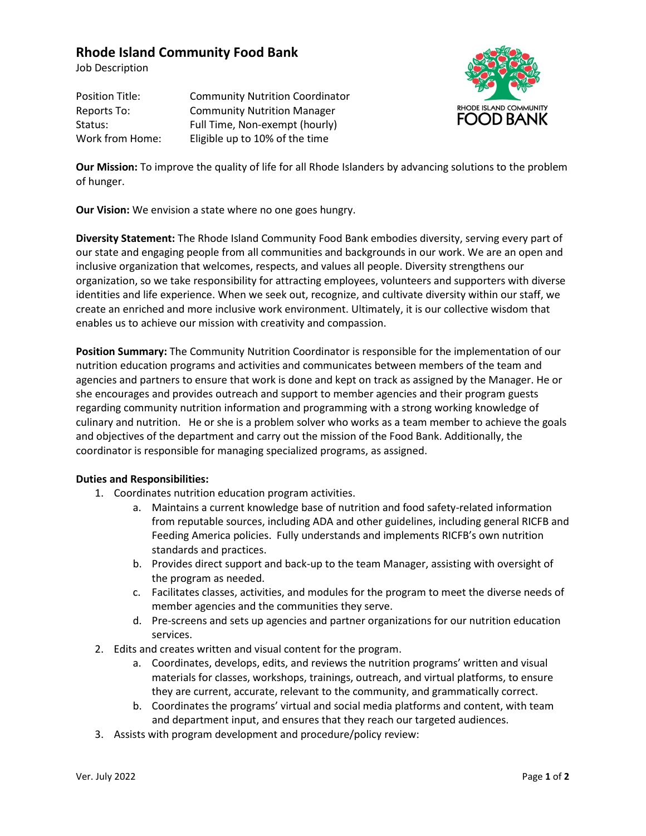## **Rhode Island Community Food Bank**

Job Description

Position Title: Community Nutrition Coordinator Reports To: Community Nutrition Manager Status: Full Time, Non-exempt (hourly) Work from Home: Eligible up to 10% of the time



**Our Mission:** To improve the quality of life for all Rhode Islanders by advancing solutions to the problem of hunger.

**Our Vision:** We envision a state where no one goes hungry.

**Diversity Statement:** The Rhode Island Community Food Bank embodies diversity, serving every part of our state and engaging people from all communities and backgrounds in our work. We are an open and inclusive organization that welcomes, respects, and values all people. Diversity strengthens our organization, so we take responsibility for attracting employees, volunteers and supporters with diverse identities and life experience. When we seek out, recognize, and cultivate diversity within our staff, we create an enriched and more inclusive work environment. Ultimately, it is our collective wisdom that enables us to achieve our mission with creativity and compassion.

**Position Summary:** The Community Nutrition Coordinator is responsible for the implementation of our nutrition education programs and activities and communicates between members of the team and agencies and partners to ensure that work is done and kept on track as assigned by the Manager. He or she encourages and provides outreach and support to member agencies and their program guests regarding community nutrition information and programming with a strong working knowledge of culinary and nutrition. He or she is a problem solver who works as a team member to achieve the goals and objectives of the department and carry out the mission of the Food Bank. Additionally, the coordinator is responsible for managing specialized programs, as assigned.

## **Duties and Responsibilities:**

- 1. Coordinates nutrition education program activities.
	- a. Maintains a current knowledge base of nutrition and food safety-related information from reputable sources, including ADA and other guidelines, including general RICFB and Feeding America policies. Fully understands and implements RICFB's own nutrition standards and practices.
	- b. Provides direct support and back-up to the team Manager, assisting with oversight of the program as needed.
	- c. Facilitates classes, activities, and modules for the program to meet the diverse needs of member agencies and the communities they serve.
	- d. Pre-screens and sets up agencies and partner organizations for our nutrition education services.
- 2. Edits and creates written and visual content for the program.
	- a. Coordinates, develops, edits, and reviews the nutrition programs' written and visual materials for classes, workshops, trainings, outreach, and virtual platforms, to ensure they are current, accurate, relevant to the community, and grammatically correct.
	- b. Coordinates the programs' virtual and social media platforms and content, with team and department input, and ensures that they reach our targeted audiences.
- 3. Assists with program development and procedure/policy review: